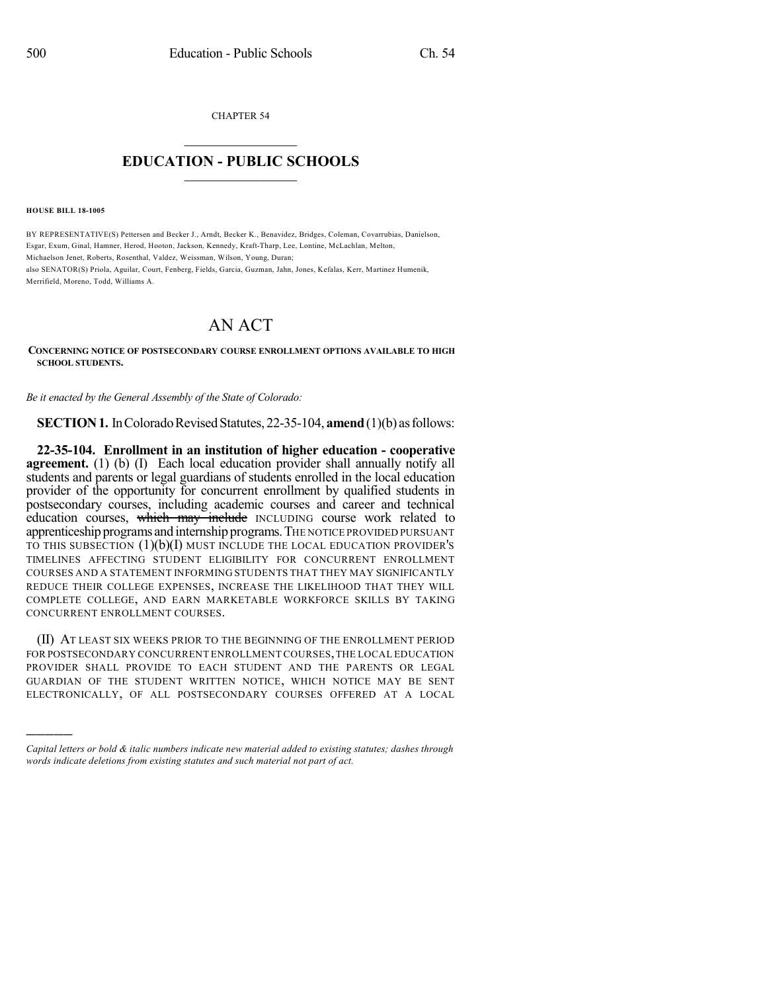CHAPTER 54  $\overline{\phantom{a}}$  . The set of the set of the set of the set of the set of the set of the set of the set of the set of the set of the set of the set of the set of the set of the set of the set of the set of the set of the set o

## **EDUCATION - PUBLIC SCHOOLS**  $\_$   $\_$   $\_$   $\_$   $\_$   $\_$   $\_$   $\_$   $\_$

**HOUSE BILL 18-1005**

)))))

BY REPRESENTATIVE(S) Pettersen and Becker J., Arndt, Becker K., Benavidez, Bridges, Coleman, Covarrubias, Danielson, Esgar, Exum, Ginal, Hamner, Herod, Hooton, Jackson, Kennedy, Kraft-Tharp, Lee, Lontine, McLachlan, Melton, Michaelson Jenet, Roberts, Rosenthal, Valdez, Weissman, Wilson, Young, Duran; also SENATOR(S) Priola, Aguilar, Court, Fenberg, Fields, Garcia, Guzman, Jahn, Jones, Kefalas, Kerr, Martinez Humenik, Merrifield, Moreno, Todd, Williams A.

## AN ACT

**CONCERNING NOTICE OF POSTSECONDARY COURSE ENROLLMENT OPTIONS AVAILABLE TO HIGH SCHOOL STUDENTS.**

*Be it enacted by the General Assembly of the State of Colorado:*

**SECTION 1.** In Colorado Revised Statutes, 22-35-104, **amend** (1)(b) as follows:

**22-35-104. Enrollment in an institution of higher education - cooperative agreement.** (1) (b) (I) Each local education provider shall annually notify all students and parents or legal guardians of students enrolled in the local education provider of the opportunity for concurrent enrollment by qualified students in postsecondary courses, including academic courses and career and technical education courses, which may include INCLUDING course work related to apprenticeship programs and internship programs. THE NOTICE PROVIDED PURSUANT TO THIS SUBSECTION  $(1)(b)(I)$  must include the local education provider's TIMELINES AFFECTING STUDENT ELIGIBILITY FOR CONCURRENT ENROLLMENT COURSES AND A STATEMENT INFORMING STUDENTS THAT THEY MAY SIGNIFICANTLY REDUCE THEIR COLLEGE EXPENSES, INCREASE THE LIKELIHOOD THAT THEY WILL COMPLETE COLLEGE, AND EARN MARKETABLE WORKFORCE SKILLS BY TAKING CONCURRENT ENROLLMENT COURSES.

(II) AT LEAST SIX WEEKS PRIOR TO THE BEGINNING OF THE ENROLLMENT PERIOD FOR POSTSECONDARY CONCURRENT ENROLLMENT COURSES,THE LOCAL EDUCATION PROVIDER SHALL PROVIDE TO EACH STUDENT AND THE PARENTS OR LEGAL GUARDIAN OF THE STUDENT WRITTEN NOTICE, WHICH NOTICE MAY BE SENT ELECTRONICALLY, OF ALL POSTSECONDARY COURSES OFFERED AT A LOCAL

*Capital letters or bold & italic numbers indicate new material added to existing statutes; dashes through words indicate deletions from existing statutes and such material not part of act.*